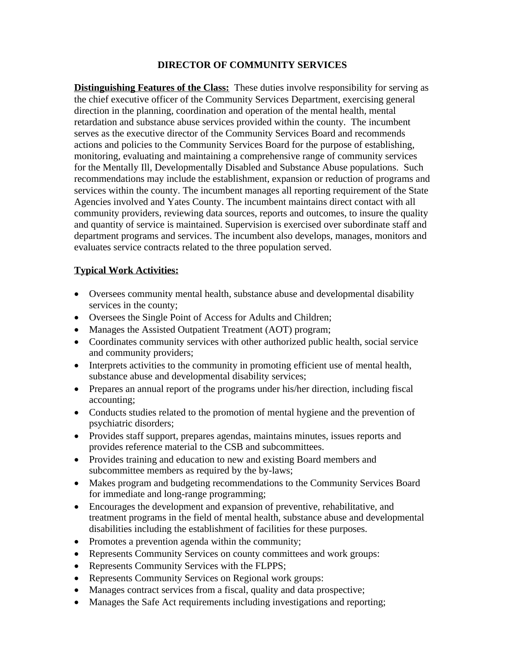### **DIRECTOR OF COMMUNITY SERVICES**

**Distinguishing Features of the Class:** These duties involve responsibility for serving as the chief executive officer of the Community Services Department, exercising general direction in the planning, coordination and operation of the mental health, mental retardation and substance abuse services provided within the county. The incumbent serves as the executive director of the Community Services Board and recommends actions and policies to the Community Services Board for the purpose of establishing, monitoring, evaluating and maintaining a comprehensive range of community services for the Mentally Ill, Developmentally Disabled and Substance Abuse populations. Such recommendations may include the establishment, expansion or reduction of programs and services within the county. The incumbent manages all reporting requirement of the State Agencies involved and Yates County. The incumbent maintains direct contact with all community providers, reviewing data sources, reports and outcomes, to insure the quality and quantity of service is maintained. Supervision is exercised over subordinate staff and department programs and services. The incumbent also develops, manages, monitors and evaluates service contracts related to the three population served.

### **Typical Work Activities:**

- Oversees community mental health, substance abuse and developmental disability services in the county;
- Oversees the Single Point of Access for Adults and Children;
- Manages the Assisted Outpatient Treatment (AOT) program;
- Coordinates community services with other authorized public health, social service and community providers;
- Interprets activities to the community in promoting efficient use of mental health, substance abuse and developmental disability services;
- Prepares an annual report of the programs under his/her direction, including fiscal accounting;
- Conducts studies related to the promotion of mental hygiene and the prevention of psychiatric disorders;
- Provides staff support, prepares agendas, maintains minutes, issues reports and provides reference material to the CSB and subcommittees.
- Provides training and education to new and existing Board members and subcommittee members as required by the by-laws;
- Makes program and budgeting recommendations to the Community Services Board for immediate and long-range programming;
- Encourages the development and expansion of preventive, rehabilitative, and treatment programs in the field of mental health, substance abuse and developmental disabilities including the establishment of facilities for these purposes.
- Promotes a prevention agenda within the community;
- Represents Community Services on county committees and work groups:
- Represents Community Services with the FLPPS;
- Represents Community Services on Regional work groups:
- Manages contract services from a fiscal, quality and data prospective;
- Manages the Safe Act requirements including investigations and reporting;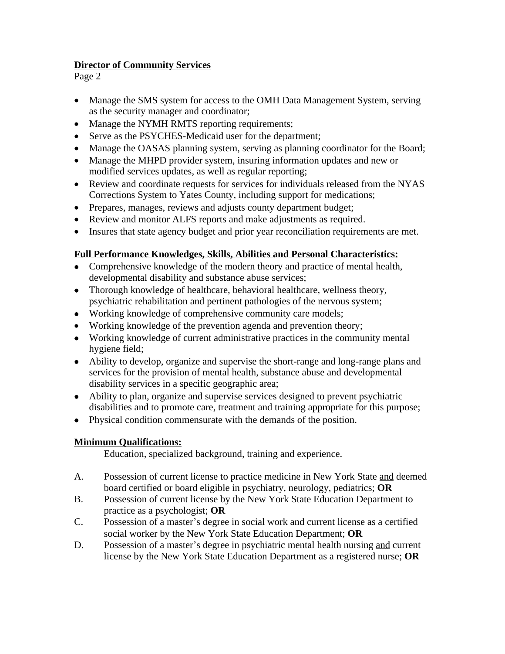### **Director of Community Services**

Page 2

- Manage the SMS system for access to the OMH Data Management System, serving as the security manager and coordinator;
- Manage the NYMH RMTS reporting requirements;
- Serve as the PSYCHES-Medicaid user for the department;
- Manage the OASAS planning system, serving as planning coordinator for the Board;
- Manage the MHPD provider system, insuring information updates and new or modified services updates, as well as regular reporting;
- Review and coordinate requests for services for individuals released from the NYAS Corrections System to Yates County, including support for medications;
- Prepares, manages, reviews and adjusts county department budget;
- Review and monitor ALFS reports and make adjustments as required.
- Insures that state agency budget and prior year reconciliation requirements are met.

# **Full Performance Knowledges, Skills, Abilities and Personal Characteristics:**

- Comprehensive knowledge of the modern theory and practice of mental health, developmental disability and substance abuse services;
- Thorough knowledge of healthcare, behavioral healthcare, wellness theory, psychiatric rehabilitation and pertinent pathologies of the nervous system;
- Working knowledge of comprehensive community care models;
- Working knowledge of the prevention agenda and prevention theory;
- Working knowledge of current administrative practices in the community mental hygiene field;
- Ability to develop, organize and supervise the short-range and long-range plans and services for the provision of mental health, substance abuse and developmental disability services in a specific geographic area;
- Ability to plan, organize and supervise services designed to prevent psychiatric disabilities and to promote care, treatment and training appropriate for this purpose;
- Physical condition commensurate with the demands of the position.

# **Minimum Qualifications:**

Education, specialized background, training and experience.

- A. Possession of current license to practice medicine in New York State and deemed board certified or board eligible in psychiatry, neurology, pediatrics; **OR**
- B. Possession of current license by the New York State Education Department to practice as a psychologist; **OR**
- C. Possession of a master's degree in social work and current license as a certified social worker by the New York State Education Department; **OR**
- D. Possession of a master's degree in psychiatric mental health nursing and current license by the New York State Education Department as a registered nurse; **OR**